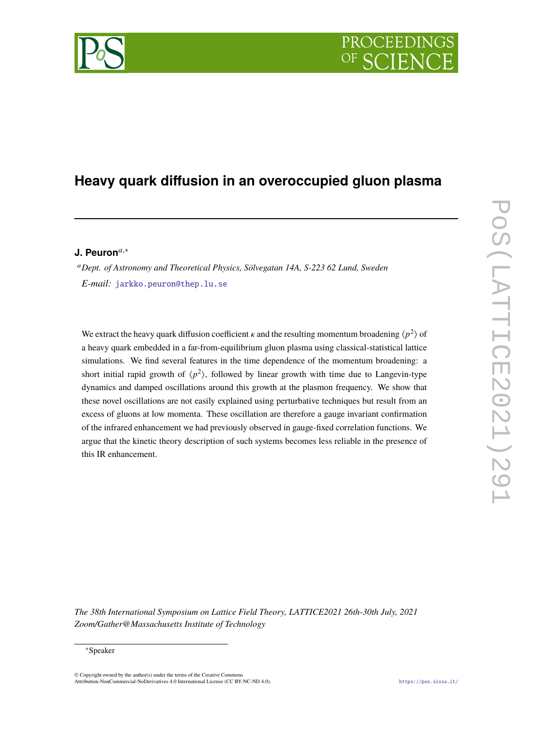# **PROCEEDI**

## **Heavy quark diffusion in an overoccupied gluon plasma**

### **J. Peuron**𝑎,<sup>∗</sup>

<sup>𝑎</sup>*Dept. of Astronomy and Theoretical Physics, Sölvegatan 14A, S-223 62 Lund, Sweden E-mail:* [jarkko.peuron@thep.lu.se](mailto: jarkko.peuron@thep.lu.se)

We extract the heavy quark diffusion coefficient  $\kappa$  and the resulting momentum broadening  $\langle p^2 \rangle$  of a heavy quark embedded in a far-from-equilibrium gluon plasma using classical-statistical lattice simulations. We find several features in the time dependence of the momentum broadening: a short initial rapid growth of  $\langle p^2 \rangle$ , followed by linear growth with time due to Langevin-type dynamics and damped oscillations around this growth at the plasmon frequency. We show that these novel oscillations are not easily explained using perturbative techniques but result from an excess of gluons at low momenta. These oscillation are therefore a gauge invariant confirmation of the infrared enhancement we had previously observed in gauge-fixed correlation functions. We argue that the kinetic theory description of such systems becomes less reliable in the presence of this IR enhancement.

*The 38th International Symposium on Lattice Field Theory, LATTICE2021 26th-30th July, 2021 Zoom/Gather@Massachusetts Institute of Technology*

#### <sup>∗</sup>Speaker

 $\odot$  Copyright owned by the author(s) under the terms of the Creative Common Attribution-NonCommercial-NoDerivatives 4.0 International License (CC BY-NC-ND 4.0). <https://pos.sissa.it/>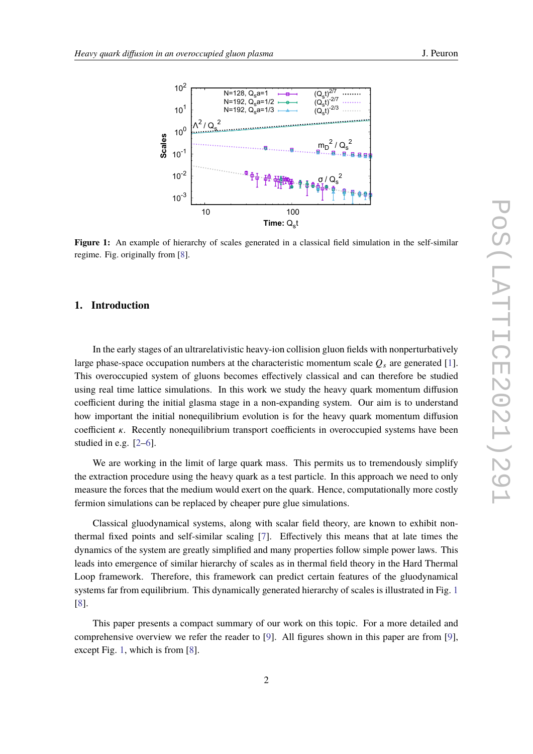<span id="page-1-0"></span>

**Figure 1:** An example of hierarchy of scales generated in a classical field simulation in the self-similar regime. Fig. originally from [\[8\]](#page-8-0).

#### **1. Introduction**

In the early stages of an ultrarelativistic heavy-ion collision gluon fields with nonperturbatively large phase-space occupation numbers at the characteristic momentum scale  $Q_s$  are generated [\[1\]](#page-8-1). This overoccupied system of gluons becomes effectively classical and can therefore be studied using real time lattice simulations. In this work we study the heavy quark momentum diffusion coefficient during the initial glasma stage in a non-expanding system. Our aim is to understand how important the initial nonequilibrium evolution is for the heavy quark momentum diffusion coefficient  $\kappa$ . Recently nonequilibrium transport coefficients in overoccupied systems have been studied in e.g. [\[2](#page-8-2)[–6\]](#page-8-3).

We are working in the limit of large quark mass. This permits us to tremendously simplify the extraction procedure using the heavy quark as a test particle. In this approach we need to only measure the forces that the medium would exert on the quark. Hence, computationally more costly fermion simulations can be replaced by cheaper pure glue simulations.

Classical gluodynamical systems, along with scalar field theory, are known to exhibit nonthermal fixed points and self-similar scaling [\[7\]](#page-8-4). Effectively this means that at late times the dynamics of the system are greatly simplified and many properties follow simple power laws. This leads into emergence of similar hierarchy of scales as in thermal field theory in the Hard Thermal Loop framework. Therefore, this framework can predict certain features of the gluodynamical systems far from equilibrium. This dynamically generated hierarchy of scales is illustrated in Fig. [1](#page-1-0) [\[8\]](#page-8-0).

This paper presents a compact summary of our work on this topic. For a more detailed and comprehensive overview we refer the reader to [\[9\]](#page-8-5). All figures shown in this paper are from [\[9\]](#page-8-5), except Fig. [1,](#page-1-0) which is from [\[8\]](#page-8-0).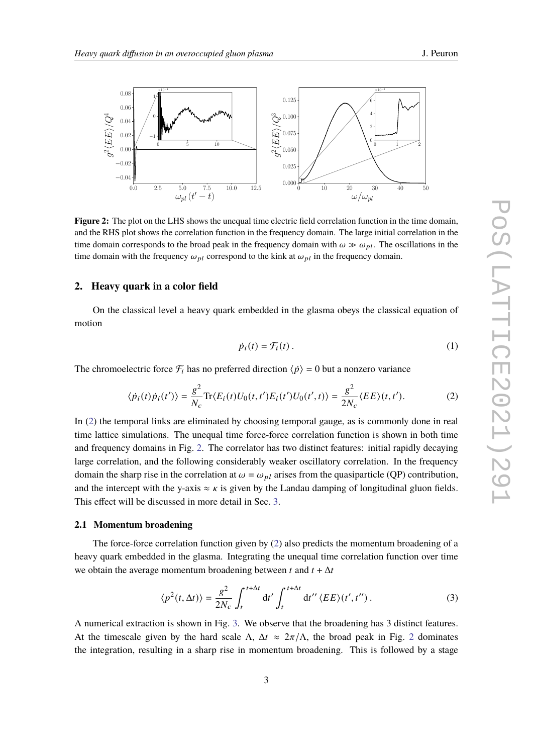<span id="page-2-1"></span>

**Figure 2:** The plot on the LHS shows the unequal time electric field correlation function in the time domain, and the RHS plot shows the correlation function in the frequency domain. The large initial correlation in the time domain corresponds to the broad peak in the frequency domain with  $\omega \gg \omega_{pl}$ . The oscillations in the time domain with the frequency  $\omega_{pl}$  correspond to the kink at  $\omega_{pl}$  in the frequency domain.

#### **2. Heavy quark in a color field**

On the classical level a heavy quark embedded in the glasma obeys the classical equation of motion

<span id="page-2-0"></span>
$$
\dot{p}_i(t) = \mathcal{F}_i(t) \,. \tag{1}
$$

The chromoelectric force  $\mathcal{F}_i$  has no preferred direction  $\langle \dot{p} \rangle = 0$  but a nonzero variance

$$
\langle \dot{p}_i(t)\dot{p}_i(t')\rangle = \frac{g^2}{N_c} \text{Tr}\langle E_i(t)U_0(t,t')E_i(t')U_0(t',t)\rangle = \frac{g^2}{2N_c} \langle EE\rangle(t,t').\tag{2}
$$

In [\(2\)](#page-2-0) the temporal links are eliminated by choosing temporal gauge, as is commonly done in real time lattice simulations. The unequal time force-force correlation function is shown in both time and frequency domains in Fig. [2.](#page-2-1) The correlator has two distinct features: initial rapidly decaying large correlation, and the following considerably weaker oscillatory correlation. In the frequency domain the sharp rise in the correlation at  $\omega = \omega_{nl}$  arises from the quasiparticle (QP) contribution, and the intercept with the y-axis  $\approx \kappa$  is given by the Landau damping of longitudinal gluon fields. This effect will be discussed in more detail in Sec. [3.](#page-4-0)

#### **2.1 Momentum broadening**

The force-force correlation function given by  $(2)$  also predicts the momentum broadening of a heavy quark embedded in the glasma. Integrating the unequal time correlation function over time we obtain the average momentum broadening between  $t$  and  $t + \Delta t$ 

$$
\langle p^2(t,\Delta t)\rangle = \frac{g^2}{2N_c} \int_t^{t+\Delta t} dt' \int_t^{t+\Delta t} dt'' \langle EE \rangle(t',t'').
$$
 (3)

A numerical extraction is shown in Fig. [3.](#page-3-0) We observe that the broadening has 3 distinct features. At the timescale given by the hard scale Λ,  $\Delta t \approx 2\pi/\Lambda$  $\Delta t \approx 2\pi/\Lambda$  $\Delta t \approx 2\pi/\Lambda$ , the broad peak in Fig. 2 dominates the integration, resulting in a sharp rise in momentum broadening. This is followed by a stage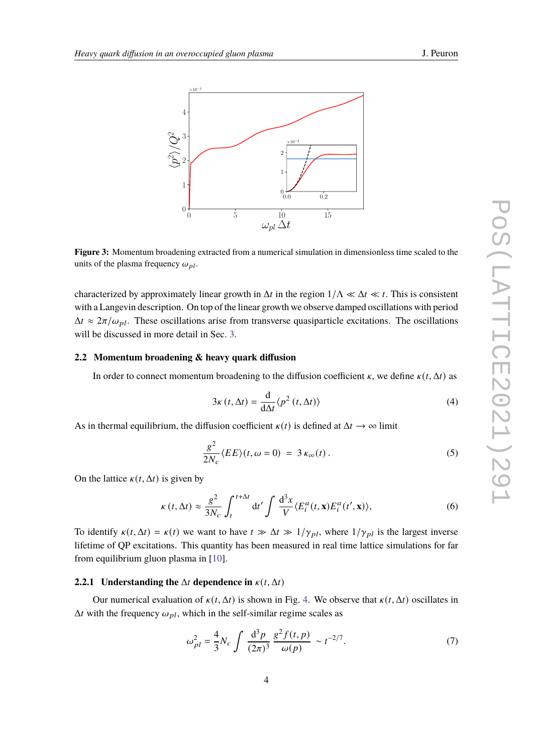<span id="page-3-0"></span>

**Figure 3:** Momentum broadening extracted from a numerical simulation in dimensionless time scaled to the units of the plasma frequency  $\omega_{pl}$ .

characterized by approximately linear growth in  $\Delta t$  in the region  $1/\Delta \ll \Delta t \ll t$ . This is consistent with a Langevin description. On top of the linear growth we observe damped oscillations with period  $\Delta t \approx 2\pi/\omega_{pl}$ . These oscillations arise from transverse quasiparticle excitations. The oscillations will be discussed in more detail in Sec. [3.](#page-4-0)

#### **2.2 Momentum broadening & heavy quark diffusion**

In order to connect momentum broadening to the diffusion coefficient  $\kappa$ , we define  $\kappa(t, \Delta t)$  as

$$
3\kappa(t,\Delta t) = \frac{\mathrm{d}}{\mathrm{d}\Delta t} \langle p^2(t,\Delta t) \rangle \tag{4}
$$

As in thermal equilibrium, the diffusion coefficient  $\kappa(t)$  is defined at  $\Delta t \rightarrow \infty$  limit

<span id="page-3-2"></span>
$$
\frac{g^2}{2N_c}\langle EE \rangle(t,\omega=0) = 3\,\kappa_\infty(t). \tag{5}
$$

On the lattice  $\kappa(t, \Delta t)$  is given by

$$
\kappa(t,\Delta t) \approx \frac{g^2}{3N_c} \int_t^{t+\Delta t} dt' \int \frac{d^3x}{V} \langle E_i^a(t,\mathbf{x}) E_i^a(t',\mathbf{x}) \rangle, \tag{6}
$$

To identify  $\kappa(t, \Delta t) = \kappa(t)$  we want to have  $t \gg \Delta t \gg 1/\gamma_{pl}$ , where  $1/\gamma_{pl}$  is the largest inverse lifetime of QP excitations. This quantity has been measured in real time lattice simulations for far from equilibrium gluon plasma in [\[10\]](#page-8-6).

#### **2.2.1 Understanding the**  $\Delta t$  dependence in  $\kappa(t, \Delta t)$

Our numerical evaluation of  $\kappa(t, \Delta t)$  is shown in Fig. [4.](#page-4-1) We observe that  $\kappa(t, \Delta t)$  oscillates in  $\Delta t$  with the frequency  $\omega_{pl}$ , which in the self-similar regime scales as

<span id="page-3-1"></span>
$$
\omega_{pl}^2 = \frac{4}{3} N_c \int \frac{\mathrm{d}^3 p}{(2\pi)^3} \frac{g^2 f(t, p)}{\omega(p)} \sim t^{-2/7}.
$$
 (7)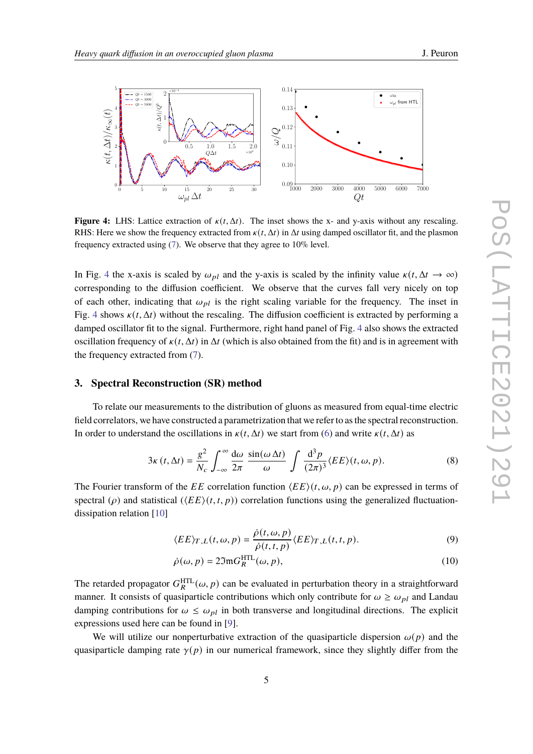<span id="page-4-1"></span>

**Figure 4:** LHS: Lattice extraction of  $\kappa(t, \Delta t)$ . The inset shows the x- and y-axis without any rescaling. RHS: Here we show the frequency extracted from  $\kappa(t, \Delta t)$  in  $\Delta t$  using damped oscillator fit, and the plasmon frequency extracted using [\(7\)](#page-3-1). We observe that they agree to 10% level.

In Fig. [4](#page-4-1) the x-axis is scaled by  $\omega_{pl}$  and the y-axis is scaled by the infinity value  $\kappa(t, \Delta t \rightarrow \infty)$ corresponding to the diffusion coefficient. We observe that the curves fall very nicely on top of each other, indicating that  $\omega_{pl}$  is the right scaling variable for the frequency. The inset in Fig. [4](#page-4-1) shows  $\kappa(t, \Delta t)$  without the rescaling. The diffusion coefficient is extracted by performing a damped oscillator fit to the signal. Furthermore, right hand panel of Fig. [4](#page-4-1) also shows the extracted oscillation frequency of  $\kappa(t, \Delta t)$  in  $\Delta t$  (which is also obtained from the fit) and is in agreement with the frequency extracted from [\(7\)](#page-3-1).

#### <span id="page-4-0"></span>**3. Spectral Reconstruction (SR) method**

To relate our measurements to the distribution of gluons as measured from equal-time electric field correlators, we have constructed a parametrization that we refer to as the spectral reconstruction. In order to understand the oscillations in  $\kappa(t, \Delta t)$  we start from [\(6\)](#page-3-2) and write  $\kappa(t, \Delta t)$  as

$$
3\kappa(t,\Delta t) = \frac{g^2}{N_c} \int_{-\infty}^{\infty} \frac{d\omega}{2\pi} \frac{\sin(\omega \Delta t)}{\omega} \int \frac{d^3 p}{(2\pi)^3} \langle EE \rangle(t,\omega,p). \tag{8}
$$

The Fourier transform of the EE correlation function  $\langle EE \rangle(t, \omega, p)$  can be expressed in terms of spectral ( $\rho$ ) and statistical ( $\langle EE \rangle (t,t,p)$ ) correlation functions using the generalized fluctuationdissipation relation [\[10\]](#page-8-6)

<span id="page-4-2"></span>
$$
\langle EE\rangle_{T,L}(t,\omega,p) = \frac{\dot{\rho}(t,\omega,p)}{\dot{\rho}(t,t,p)} \langle EE\rangle_{T,L}(t,t,p). \tag{9}
$$

$$
\dot{\rho}(\omega, p) = 2\mathfrak{Im}G_R^{\text{HTL}}(\omega, p),\tag{10}
$$

The retarded propagator  $G_R^{\text{HTL}}(\omega, p)$  can be evaluated in perturbation theory in a straightforward manner. It consists of quasiparticle contributions which only contribute for  $\omega \ge \omega_{pl}$  and Landau damping contributions for  $\omega \leq \omega_{pl}$  in both transverse and longitudinal directions. The explicit expressions used here can be found in [\[9\]](#page-8-5).

We will utilize our nonperturbative extraction of the quasiparticle dispersion  $\omega(p)$  and the quasiparticle damping rate  $\gamma(p)$  in our numerical framework, since they slightly differ from the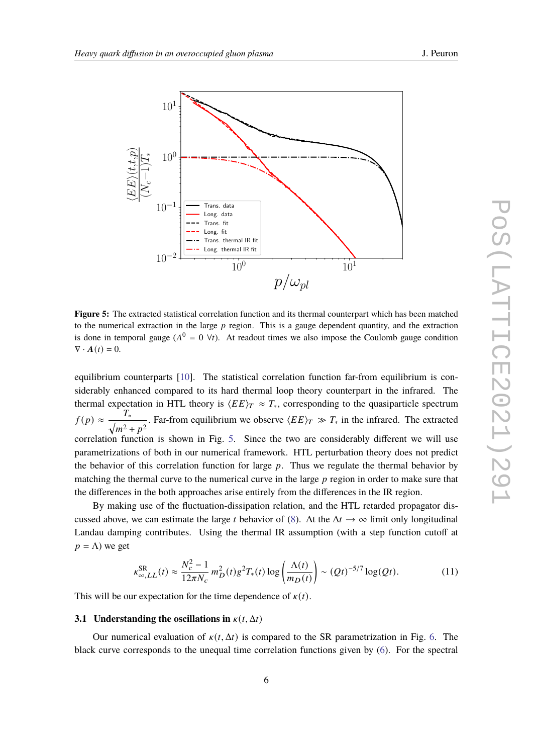<span id="page-5-0"></span>

**Figure 5:** The extracted statistical correlation function and its thermal counterpart which has been matched to the numerical extraction in the large  $p$  region. This is a gauge dependent quantity, and the extraction is done in temporal gauge ( $A^0 = 0$   $\forall t$ ). At readout times we also impose the Coulomb gauge condition  $\nabla \cdot \mathbf{A}(t) = 0.$ 

equilibrium counterparts [\[10\]](#page-8-6). The statistical correlation function far-from equilibrium is considerably enhanced compared to its hard thermal loop theory counterpart in the infrared. The thermal expectation in HTL theory is  $\langle EE \rangle_T \approx T_*$ , corresponding to the quasiparticle spectrum  $f(p) \approx \frac{T_*}{\sqrt{2\pi}}$  $\frac{I_{*}}{\sqrt{m^{2}+p^{2}}}$ . Far-from equilibrium we observe  $\langle EE\rangle_T \gg T_{*}$  in the infrared. The extracted correlation function is shown in Fig. [5.](#page-5-0) Since the two are considerably different we will use parametrizations of both in our numerical framework. HTL perturbation theory does not predict the behavior of this correlation function for large  $p$ . Thus we regulate the thermal behavior by matching the thermal curve to the numerical curve in the large  $p$  region in order to make sure that the differences in the both approaches arise entirely from the differences in the IR region.

By making use of the fluctuation-dissipation relation, and the HTL retarded propagator discussed above, we can estimate the large *t* behavior of [\(8\)](#page-4-2). At the  $\Delta t \rightarrow \infty$  limit only longitudinal Landau damping contributes. Using the thermal IR assumption (with a step function cutoff at  $p = \Lambda$ ) we get

<span id="page-5-1"></span>
$$
\kappa_{\infty,LL}^{\text{SR}}(t) \approx \frac{N_c^2 - 1}{12\pi N_c} m_D^2(t) g^2 T_*(t) \log\left(\frac{\Lambda(t)}{m_D(t)}\right) \sim (Qt)^{-5/7} \log(Qt). \tag{11}
$$

This will be our expectation for the time dependence of  $\kappa(t)$ .

#### **3.1 Understanding the oscillations in**  $\kappa(t, \Delta t)$

Our numerical evaluation of  $\kappa(t, \Delta t)$  is compared to the SR parametrization in Fig. [6.](#page-6-0) The black curve corresponds to the unequal time correlation functions given by [\(6\)](#page-3-2). For the spectral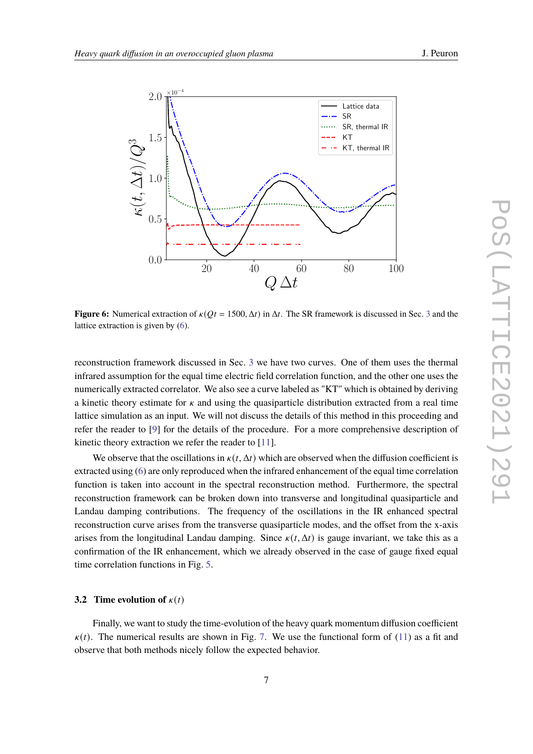<span id="page-6-0"></span>

**Figure 6:** Numerical extraction of  $\kappa(Qt = 1500, \Delta t)$  in  $\Delta t$ . The SR framework is discussed in Sec. [3](#page-4-0) and the lattice extraction is given by [\(6\)](#page-3-2).

reconstruction framework discussed in Sec. [3](#page-4-0) we have two curves. One of them uses the thermal infrared assumption for the equal time electric field correlation function, and the other one uses the numerically extracted correlator. We also see a curve labeled as "KT" which is obtained by deriving a kinetic theory estimate for  $\kappa$  and using the quasiparticle distribution extracted from a real time lattice simulation as an input. We will not discuss the details of this method in this proceeding and refer the reader to [\[9\]](#page-8-5) for the details of the procedure. For a more comprehensive description of kinetic theory extraction we refer the reader to [\[11\]](#page-8-7).

We observe that the oscillations in  $\kappa(t, \Delta t)$  which are observed when the diffusion coefficient is extracted using [\(6\)](#page-3-2) are only reproduced when the infrared enhancement of the equal time correlation function is taken into account in the spectral reconstruction method. Furthermore, the spectral reconstruction framework can be broken down into transverse and longitudinal quasiparticle and Landau damping contributions. The frequency of the oscillations in the IR enhanced spectral reconstruction curve arises from the transverse quasiparticle modes, and the offset from the x-axis arises from the longitudinal Landau damping. Since  $\kappa(t, \Delta t)$  is gauge invariant, we take this as a confirmation of the IR enhancement, which we already observed in the case of gauge fixed equal time correlation functions in Fig. [5.](#page-5-0)

#### **3.2 Time evolution of**  $\kappa(t)$

Finally, we want to study the time-evolution of the heavy quark momentum diffusion coefficient  $\kappa(t)$ . The numerical results are shown in Fig. [7.](#page-7-0) We use the functional form of [\(11\)](#page-5-1) as a fit and observe that both methods nicely follow the expected behavior.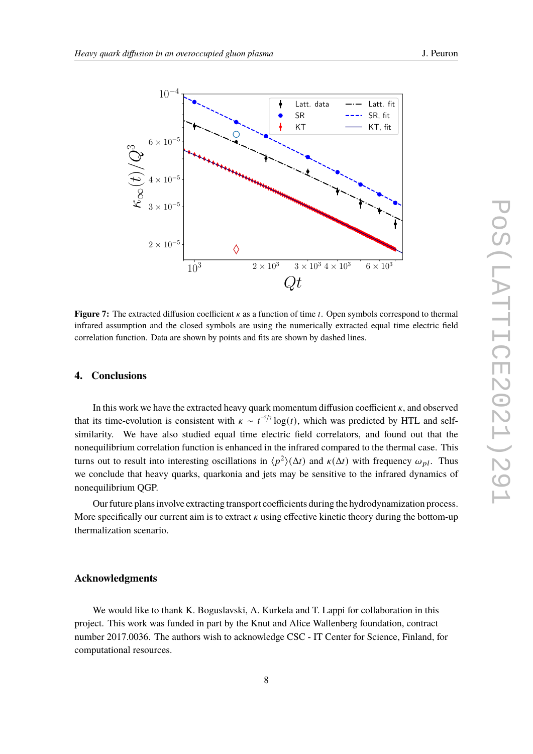<span id="page-7-0"></span>

**Figure 7:** The extracted diffusion coefficient  $\kappa$  as a function of time t. Open symbols correspond to thermal infrared assumption and the closed symbols are using the numerically extracted equal time electric field correlation function. Data are shown by points and fits are shown by dashed lines.

#### **4. Conclusions**

In this work we have the extracted heavy quark momentum diffusion coefficient  $\kappa$ , and observed that its time-evolution is consistent with  $\kappa \sim t^{-5/7} \log(t)$ , which was predicted by HTL and selfsimilarity. We have also studied equal time electric field correlators, and found out that the nonequilibrium correlation function is enhanced in the infrared compared to the thermal case. This turns out to result into interesting oscillations in  $\langle p^2 \rangle(\Delta t)$  and  $\kappa(\Delta t)$  with frequency  $\omega_{pl}$ . Thus we conclude that heavy quarks, quarkonia and jets may be sensitive to the infrared dynamics of nonequilibrium QGP.

Our future plans involve extracting transport coefficients during the hydrodynamization process. More specifically our current aim is to extract  $\kappa$  using effective kinetic theory during the bottom-up thermalization scenario.

#### **Acknowledgments**

We would like to thank K. Boguslavski, A. Kurkela and T. Lappi for collaboration in this project. This work was funded in part by the Knut and Alice Wallenberg foundation, contract number 2017.0036. The authors wish to acknowledge CSC - IT Center for Science, Finland, for computational resources.